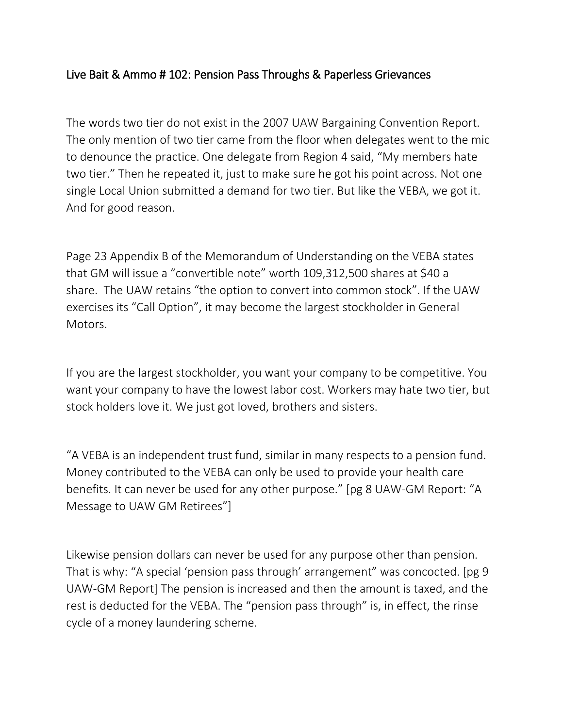## Live Bait & Ammo # 102: Pension Pass Throughs & Paperless Grievances

The words two tier do not exist in the 2007 UAW Bargaining Convention Report. The only mention of two tier came from the floor when delegates went to the mic to denounce the practice. One delegate from Region 4 said, "My members hate two tier." Then he repeated it, just to make sure he got his point across. Not one single Local Union submitted a demand for two tier. But like the VEBA, we got it. And for good reason.

Page 23 Appendix B of the Memorandum of Understanding on the VEBA states that GM will issue a "convertible note" worth 109,312,500 shares at \$40 a share. The UAW retains "the option to convert into common stock". If the UAW exercises its "Call Option", it may become the largest stockholder in General Motors.

If you are the largest stockholder, you want your company to be competitive. You want your company to have the lowest labor cost. Workers may hate two tier, but stock holders love it. We just got loved, brothers and sisters.

"A VEBA is an independent trust fund, similar in many respects to a pension fund. Money contributed to the VEBA can only be used to provide your health care benefits. It can never be used for any other purpose." [pg 8 UAW-GM Report: "A Message to UAW GM Retirees"]

Likewise pension dollars can never be used for any purpose other than pension. That is why: "A special 'pension pass through' arrangement" was concocted. [pg 9 UAW-GM Report] The pension is increased and then the amount is taxed, and the rest is deducted for the VEBA. The "pension pass through" is, in effect, the rinse cycle of a money laundering scheme.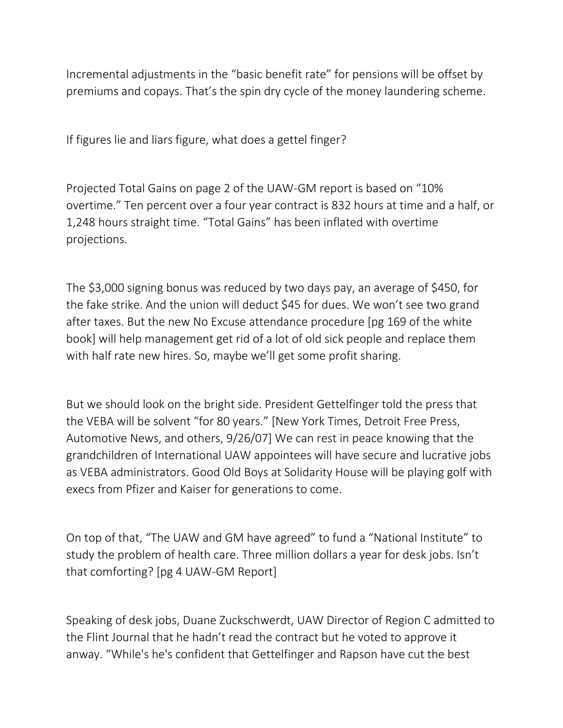Incremental adjustments in the "basic benefit rate" for pensions will be offset by premiums and copays. That's the spin dry cycle of the money laundering scheme.

If figures lie and liars figure, what does a gettel finger?

Projected Total Gains on page 2 of the UAW-GM report is based on "10% overtime." Ten percent over a four year contract is 832 hours at time and a half, or 1,248 hours straight time. "Total Gains" has been inflated with overtime projections.

The \$3,000 signing bonus was reduced by two days pay, an average of \$450, for the fake strike. And the union will deduct \$45 for dues. We won't see two grand after taxes. But the new No Excuse attendance procedure [pg 169 of the white book] will help management get rid of a lot of old sick people and replace them with half rate new hires. So, maybe we'll get some profit sharing.

But we should look on the bright side. President Gettelfinger told the press that the VEBA will be solvent "for 80 years." [New York Times, Detroit Free Press, Automotive News, and others, 9/26/07] We can rest in peace knowing that the grandchildren of International UAW appointees will have secure and lucrative jobs as VEBA administrators. Good Old Boys at Solidarity House will be playing golf with execs from Pfizer and Kaiser for generations to come.

On top of that, "The UAW and GM have agreed" to fund a "National Institute" to study the problem of health care. Three million dollars a year for desk jobs. Isn't that comforting? [pg 4 UAW-GM Report]

Speaking of desk jobs, Duane Zuckschwerdt, UAW Director of Region C admitted to the Flint Journal that he hadn't read the contract but he voted to approve it anway. "While's he's confident that Gettelfinger and Rapson have cut the best